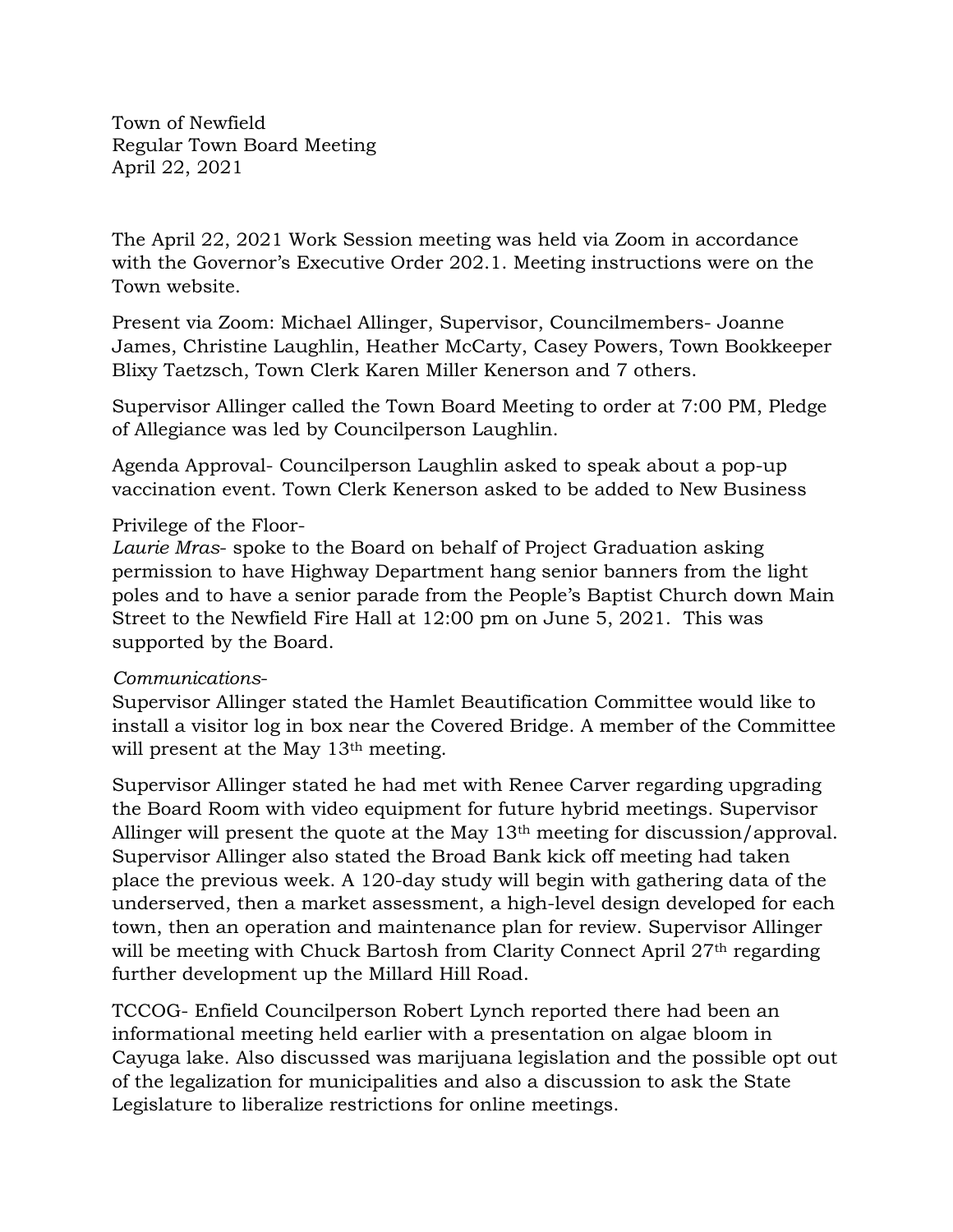Town of Newfield Regular Town Board Meeting April 22, 2021

The April 22, 2021 Work Session meeting was held via Zoom in accordance with the Governor's Executive Order 202.1. Meeting instructions were on the Town website.

Present via Zoom: Michael Allinger, Supervisor, Councilmembers- Joanne James, Christine Laughlin, Heather McCarty, Casey Powers, Town Bookkeeper Blixy Taetzsch, Town Clerk Karen Miller Kenerson and 7 others.

Supervisor Allinger called the Town Board Meeting to order at 7:00 PM, Pledge of Allegiance was led by Councilperson Laughlin.

Agenda Approval- Councilperson Laughlin asked to speak about a pop-up vaccination event. Town Clerk Kenerson asked to be added to New Business

#### Privilege of the Floor-

*Laurie Mras*- spoke to the Board on behalf of Project Graduation asking permission to have Highway Department hang senior banners from the light poles and to have a senior parade from the People's Baptist Church down Main Street to the Newfield Fire Hall at 12:00 pm on June 5, 2021. This was supported by the Board.

#### *Communications*-

Supervisor Allinger stated the Hamlet Beautification Committee would like to install a visitor log in box near the Covered Bridge. A member of the Committee will present at the May 13<sup>th</sup> meeting.

Supervisor Allinger stated he had met with Renee Carver regarding upgrading the Board Room with video equipment for future hybrid meetings. Supervisor Allinger will present the quote at the May 13th meeting for discussion/approval. Supervisor Allinger also stated the Broad Bank kick off meeting had taken place the previous week. A 120-day study will begin with gathering data of the underserved, then a market assessment, a high-level design developed for each town, then an operation and maintenance plan for review. Supervisor Allinger will be meeting with Chuck Bartosh from Clarity Connect April 27<sup>th</sup> regarding further development up the Millard Hill Road.

TCCOG- Enfield Councilperson Robert Lynch reported there had been an informational meeting held earlier with a presentation on algae bloom in Cayuga lake. Also discussed was marijuana legislation and the possible opt out of the legalization for municipalities and also a discussion to ask the State Legislature to liberalize restrictions for online meetings.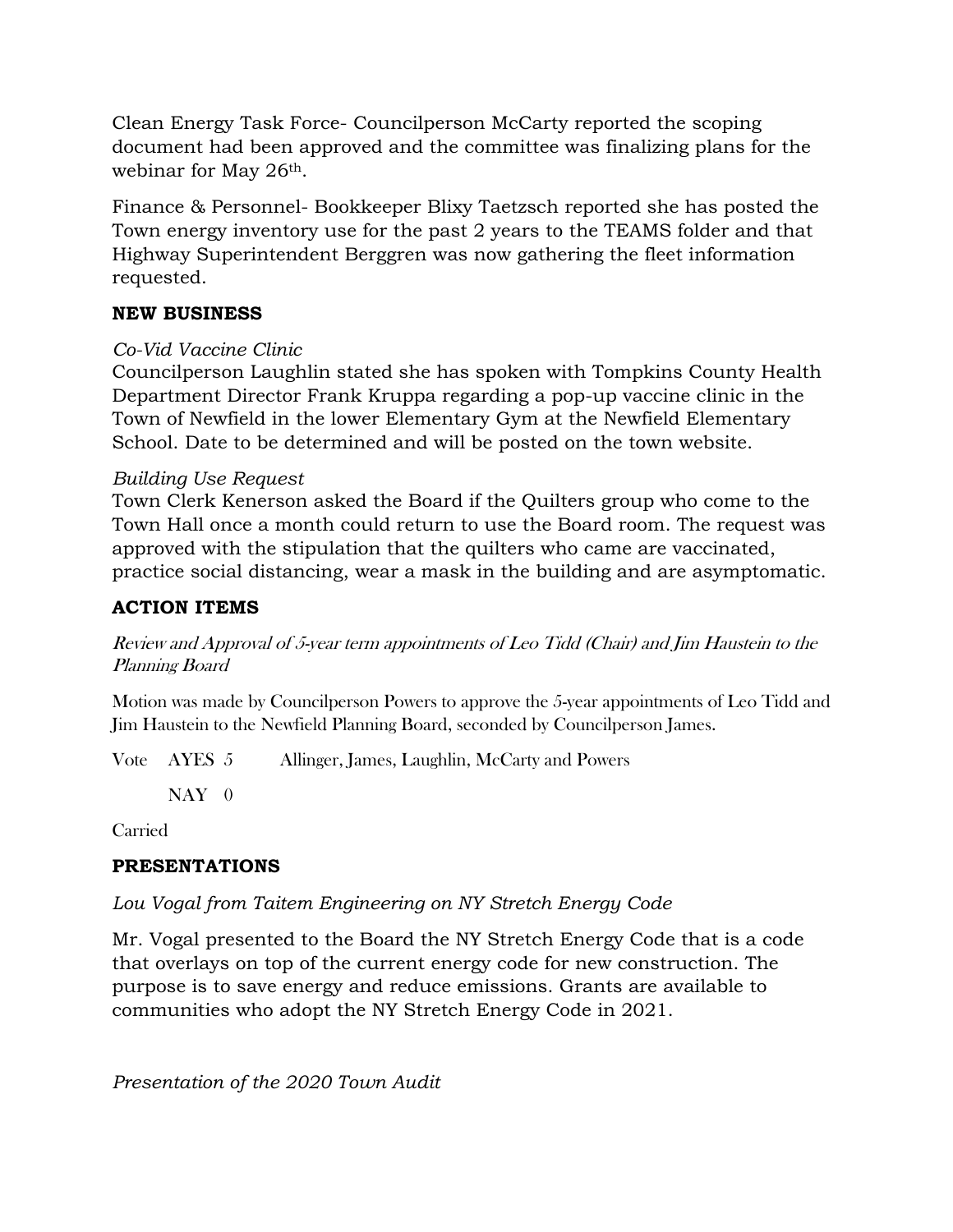Clean Energy Task Force- Councilperson McCarty reported the scoping document had been approved and the committee was finalizing plans for the webinar for May 26<sup>th</sup>.

Finance & Personnel- Bookkeeper Blixy Taetzsch reported she has posted the Town energy inventory use for the past 2 years to the TEAMS folder and that Highway Superintendent Berggren was now gathering the fleet information requested.

### **NEW BUSINESS**

### *Co-Vid Vaccine Clinic*

Councilperson Laughlin stated she has spoken with Tompkins County Health Department Director Frank Kruppa regarding a pop-up vaccine clinic in the Town of Newfield in the lower Elementary Gym at the Newfield Elementary School. Date to be determined and will be posted on the town website.

### *Building Use Request*

Town Clerk Kenerson asked the Board if the Quilters group who come to the Town Hall once a month could return to use the Board room. The request was approved with the stipulation that the quilters who came are vaccinated, practice social distancing, wear a mask in the building and are asymptomatic.

# **ACTION ITEMS**

Review and Approval of 5-year term appointments of Leo Tidd (Chair) and Jim Haustein to the Planning Board

Motion was made by Councilperson Powers to approve the 5-year appointments of Leo Tidd and Jim Haustein to the Newfield Planning Board, seconded by Councilperson James.

Vote AYES 5 Allinger, James, Laughlin, McCarty and Powers

 $NAY$  0

Carried

## **PRESENTATIONS**

## *Lou Vogal from Taitem Engineering on NY Stretch Energy Code*

Mr. Vogal presented to the Board the NY Stretch Energy Code that is a code that overlays on top of the current energy code for new construction. The purpose is to save energy and reduce emissions. Grants are available to communities who adopt the NY Stretch Energy Code in 2021.

*Presentation of the 2020 Town Audit*